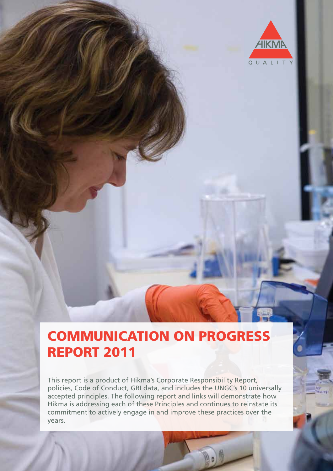

# COMMUNICATION ON PROGRESS REPORT 2011

This report is a product of Hikma's Corporate Responsibility Report, policies, Code of Conduct, GRI data, and includes the UNGC's 10 universally accepted principles. The following report and links will demonstrate how Hikma is addressing each of these Principles and continues to reinstate its commitment to actively engage in and improve these practices over the years.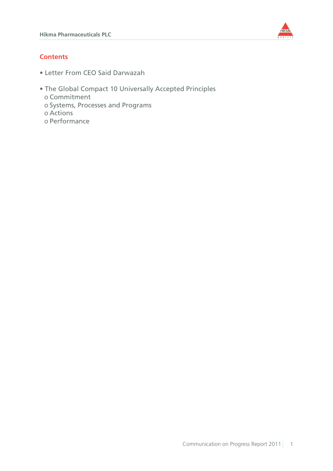

# **Contents**

- Letter From CEO Said Darwazah
- The Global Compact 10 Universally Accepted Principles 0 Commitment 0 Systems, Processes and Programs 0 Actions
	- 0 Performance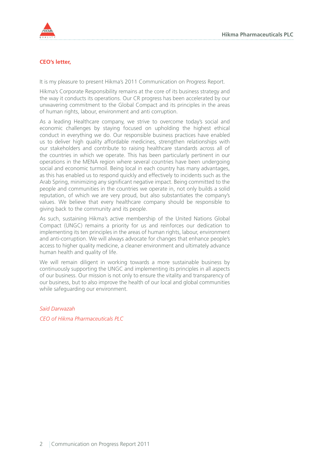

## **CEO's letter,**

It is my pleasure to present Hikma's 2011 Communication on Progress Report.

Hikma's Corporate Responsibility remains at the core of its business strategy and the way it conducts its operations. Our CR progress has been accelerated by our unwavering commitment to the Global Compact and its principles in the areas of human rights, labour, environment and anti corruption.

As a leading Healthcare company, we strive to overcome today's social and economic challenges by staying focused on upholding the highest ethical conduct in everything we do. Our responsible business practices have enabled us to deliver high quality affordable medicines, strengthen relationships with our stakeholders and contribute to raising healthcare standards across all of the countries in which we operate. This has been particularly pertinent in our operations in the MENA region where several countries have been undergoing social and economic turmoil. Being local in each country has many advantages, as this has enabled us to respond quickly and effectively to incidents such as the Arab Spring, minimizing any significant negative impact. Being committed to the people and communities in the countries we operate in, not only builds a solid reputation, of which we are very proud, but also substantiates the company's values. We believe that every healthcare company should be responsible to giving back to the community and its people.

As such, sustaining Hikma's active membership of the United Nations Global Compact (UNGC) remains a priority for us and reinforces our dedication to implementing its ten principles in the areas of human rights, labour, environment and anti-corruption. We will always advocate for changes that enhance people's access to higher quality medicine, a cleaner environment and ultimately advance human health and quality of life.

We will remain diligent in working towards a more sustainable business by continuously supporting the UNGC and implementing its principles in all aspects of our business. Our mission is not only to ensure the vitality and transparency of our business, but to also improve the health of our local and global communities while safeguarding our environment.

*Said Darwazah CEO of Hikma Pharmaceuticals PLC*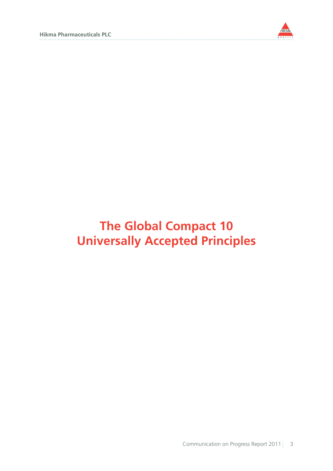

# **The Global Compact 10 Universally Accepted Principles**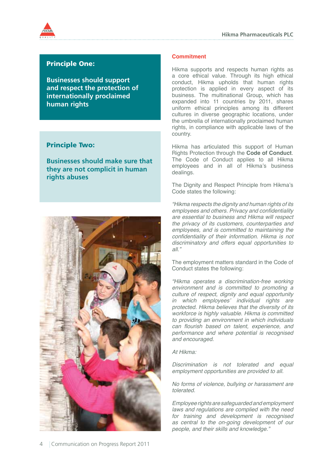

# Principle One:

**Businesses should support and respect the protection of internationally proclaimed human rights**

# Principle Two:

**Businesses should make sure that they are not complicit in human rights abuses**



## **Commitment**

Hikma supports and respects human rights as a core ethical value. Through its high ethical conduct, Hikma upholds that human rights protection is applied in every aspect of its business. The multinational Group, which has expanded into 11 countries by 2011, shares uniform ethical principles among its different cultures in diverse geographic locations, under the umbrella of internationally proclaimed human rights, in compliance with applicable laws of the country.

Hikma has articulated this support of Human Rights Protection through the **Code of Conduct**. The Code of Conduct applies to all Hikma employees and in all of Hikma's business dealings.

The Dignity and Respect Principle from Hikma's Code states the following:

*"Hikma respects the dignity and human rights of its*  employees and others. Privacy and confidentiality *are essential to business and Hikma will respect the privacy of its customers, counterparties and employees, and is committed to maintaining the*  confidentiality of their information. Hikma is not *discriminatory and offers equal opportunities to all."*

The employment matters standard in the Code of Conduct states the following:

*"Hikma operates a discrimination-free working environment and is committed to promoting a culture of respect, dignity and equal opportunity in which employees' individual rights are protected. Hikma believes that the diversity of its workforce is highly valuable. Hikma is committed to providing an environment in which individuals*  can flourish based on talent, experience, and *performance and where potential is recognised and encouraged.*

*At Hikma:*

*Discrimination is not tolerated and equal employment opportunities are provided to all.*

*No forms of violence, bullying or harassment are tolerated.* 

*Employee rights are safeguarded and employment laws and regulations are complied with the need for training and development is recognised as central to the on-going development of our people, and their skills and knowledge."*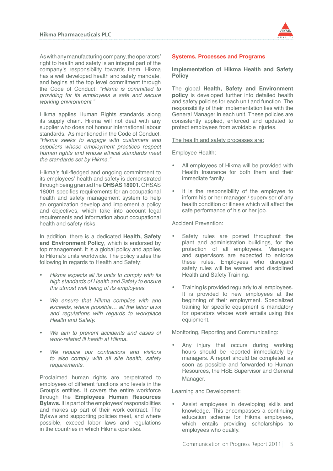As with any manufacturing company, the operators' right to health and safety is an integral part of the company's responsibility towards them. Hikma has a well developed health and safety mandate, and begins at the top level commitment through the Code of Conduct: *"Hikma is committed to providing for its employees a safe and secure working environment."*

Hikma applies Human Rights standards along its supply chain. Hikma will not deal with any supplier who does not honour international labour standards. As mentioned in the Code of Conduct, *"Hikma seeks to engage with customers and suppliers whose employment practices respect human rights and whose ethical standards meet the standards set by Hikma."*

Hikma's full-fledged and ongoing commitment to its employees' health and safety is demonstrated through being granted the **OHSAS 18001**. OHSAS 18001 specifies requirements for an occupational health and safety management system to help an organization develop and implement a policy and objectives, which take into account legal requirements and information about occupational health and safety risks.

In addition, there is a dedicated **Health, Safety and Environment Policy**, which is endorsed by top management. It is a global policy and applies to Hikma's units worldwide. The policy states the following in regards to Health and Safety:

- Hikma expects all its units to comply with its *high standards of Health and Safety to ensure the utmost well being of its employees.*
- We ensure that Hikma complies with and exceeds, where possible… all the labor laws *and regulations with regards to workplace Health and Safety.*
- • *We aim to prevent accidents and cases of work-related ill health at Hikma.*
- • *We require our contractors and visitors to also comply with all site health, safety requirements.*

Proclaimed human rights are perpetrated to employees of different functions and levels in the Group's entities. It covers the entire workforce through the **Employees Human Resources Bylaws.** It is part of the employees' responsibilities and makes up part of their work contract. The Bylaws and supporting policies meet, and where possible, exceed labor laws and regulations in the countries in which Hikma operates.



## **Systems, Processes and Programs**

**Implementation of Hikma Health and Safety Policy**

The global **Health, Safety and Environment policy** is developed further into detailed health and safety policies for each unit and function. The responsibility of their implementation lies with the General Manager in each unit. These policies are consistently applied, enforced and updated to protect employees from avoidable injuries.

The health and safety processes are:

Employee Health:

- All employees of Hikma will be provided with Health Insurance for both them and their immediate family.
- It is the responsibility of the employee to inform his or her manager / supervisor of any health condition or illness which will affect the safe performance of his or her job.

Accident Prevention:

- Safety rules are posted throughout the plant and administration buildings, for the protection of all employees. Managers and supervisors are expected to enforce these rules. Employees who disregard safety rules will be warned and disciplined Health and Safety Training.
- Training is provided regularly to all employees. It is provided to new employees at the beginning of their employment. Specialized training for specific equipment is mandatory for operators whose work entails using this equipment.

Monitoring, Reporting and Communicating:

Any injury that occurs during working hours should be reported immediately by managers. A report should be completed as soon as possible and forwarded to Human Resources, the HSE Supervisor and General Manager.

Learning and Development:

Assist employees in developing skills and knowledge. This encompasses a continuing education scheme for Hikma employees, which entails providing scholarships to employees who qualify.

Communication on Progress Report 2011 5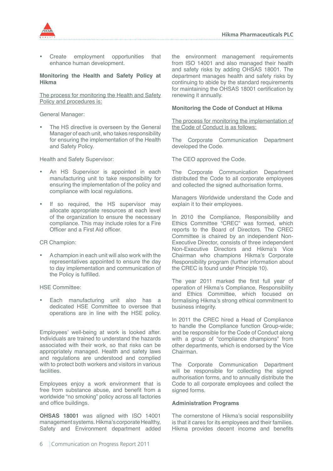

Create employment opportunities that enhance human development.

#### **Monitoring the Health and Safety Policy at Hikma**

The process for monitoring the Health and Safety Policy and procedures is:

General Manager:

The HS directive is overseen by the General Manager of each unit, who takes responsibility for ensuring the implementation of the Health and Safety Policy.

Health and Safety Supervisor:

- An HS Supervisor is appointed in each manufacturing unit to take responsibility for ensuring the implementation of the policy and compliance with local regulations.
- If so required, the HS supervisor may allocate appropriate resources at each level of the organization to ensure the necessary compliance. This may include roles for a Fire Officer and a First Aid officer.

CR Champion:

A champion in each unit will also work with the representatives appointed to ensure the day to day implementation and communication of the Policy is fulfilled.

HSE Committee:

Each manufacturing unit also has a dedicated HSE Committee to oversee that operations are in line with the HSE policy.

Employees' well-being at work is looked after. Individuals are trained to understand the hazards associated with their work, so that risks can be appropriately managed. Health and safety laws and regulations are understood and complied with to protect both workers and visitors in various facilities.

Employees enjoy a work environment that is free from substance abuse, and benefit from a worldwide "no smoking" policy across all factories and office buildings.

**OHSAS 18001** was aligned with ISO 14001 management systems. Hikma's corporate Healthy, Safety and Environment department added the environment management requirements from ISO 14001 and also managed their health and safety risks by adding OHSAS 18001. The department manages health and safety risks by continuing to abide by the standard requirements for maintaining the OHSAS 18001 certification by renewing it annually.

## **Monitoring the Code of Conduct at Hikma**

The process for monitoring the implementation of the Code of Conduct is as follows:

The Corporate Communication Department developed the Code.

The CEO approved the Code.

The Corporate Communication Department distributed the Code to all corporate employees and collected the signed authorisation forms.

Managers Worldwide understand the Code and explain it to their employees.

In 2010 the Compliance, Responsibility and Ethics Committee "CREC" was formed, which reports to the Board of Directors. The CREC Committee is chaired by an independent Non-Executive Director, consists of three independent Non-Executive Directors and Hikma's Vice Chairman who champions Hikma's Corporate Responsibility program (further information about the CREC is found under Principle 10).

The year 2011 marked the first full year of operation of Hikma's Compliance, Responsibility and Ethics Committee, which focused on formalising Hikma's strong ethical commitment to business integrity.

In 2011 the CREC hired a Head of Compliance to handle the Compliance function Group-wide; and be responsible for the Code of Conduct along with a group of "compliance champions" from other departments, which is endorsed by the Vice Chairman.

The Corporate Communication Department will be responsible for collecting the signed authorisation forms, and to annually distribute the Code to all corporate employees and collect the signed forms.

# **Administration Programs**

The cornerstone of Hikma's social responsibility is that it cares for its employees and their families. Hikma provides decent income and benefits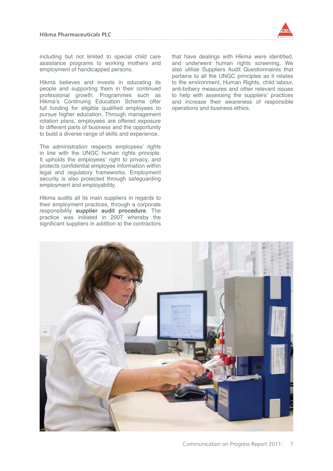

including but not limited to special child care assistance programs to working mothers and employment of handicapped persons.

Hikma believes and invests in educating its people and supporting them in their continued professional growth. Programmes such as Hikma's Continuing Education Scheme offer full funding for eligible qualified employees to pursue higher education. Through management rotation plans, employees are offered exposure to different parts of business and the opportunity to build a diverse range of skills and experience.

The administration respects employees' rights in line with the UNGC human rights principle. It upholds the employees' right to privacy, and protects confidential employee information within legal and regulatory frameworks. Employment security is also protected through safeguarding employment and employability.

Hikma audits all its main suppliers in regards to their employment practices, through a corporate responsibility **supplier audit procedure**. The practice was initiated in 2007 whereby the significant suppliers in addition to the contractors that have dealings with Hikma were identified, and underwent human rights screening. We also utilise Suppliers Audit Questionnaires that pertains to all the UNGC principles as it relates to the environment, Human Rights, child labour, anti-bribery measures and other relevant issues to help with assessing the suppliers' practices and increase their awareness of responsible operations and business ethics.

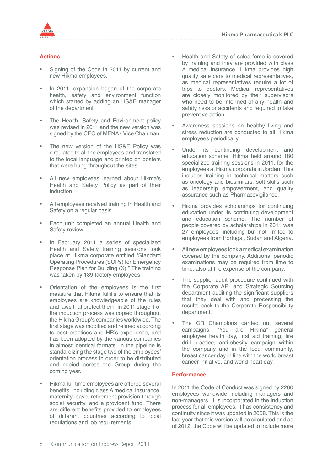

# **Actions**

- Signing of the Code in 2011 by current and new Hikma employees.
- In 2011, expansion began of the corporate health, safety and environment function which started by adding an HS&E manager of the department.
- The Health, Safety and Environment policy was revised in 2011 and the new version was signed by the CEO of MENA - Vice Chairman.
- The new version of the HS&E Policy was circulated to all the employees and translated to the local language and printed on posters that were hung throughout the sites.
- All new employees learned about Hikma's Health and Safety Policy as part of their induction.
- All employees received training in Health and Safety on a regular basis.
- Each unit completed an annual Health and Safety review.
- In February 2011 a series of specialized Health and Safety training sessions took place at Hikma corporate entitled "Standard Operating Procedures (SOPs) for Emergency Response Plan for Building (X)." The training was taken by 189 factory employees.
- Orientation of the employees is the first measure that Hikma fulfills to ensure that its employees are knowledgeable of the rules and laws that protect them. In 2011 stage 1 of the induction process was copied throughout the Hikma Group's companies worldwide. The first stage was modified and refined according to best practices and HR's experience, and has been adopted by the various companies in almost identical formats. In the pipeline is standardizing the stage two of the employees' orientation process in order to be distributed and copied across the Group during the coming year.
- Hikma full time employees are offered several benefits, including class A medical insurance, maternity leave, retirement provision through social security, and a provident fund. There are different benefits provided to employees of different countries according to local regulations and job requirements.
- Health and Safety of sales force is covered by training and they are provided with class A medical insurance. Hikma provides high quality safe cars to medical representatives, as medical representatives require a lot of trips to doctors. Medical representatives are closely monitored by their supervisors who need to be informed of any health and safety risks or accidents and required to take preventive action.
- Awareness sessions on healthy living and stress reduction are conducted to all Hikma employees periodically.
- Under its continuing development and education scheme, Hikma held around 180 specialized training sessions in 2011, for the employees at Hikma corporate in Jordan. This includes training in technical matters such as oncology and biosimilars, soft skills such as leadership empowerment, and quality assurance such as Pharmacovigilance.
- Hikma provides scholarships for continuing education under its continuing development and education scheme. The number of people covered by scholarships in 2011 was 27 employees, including but not limited to employees from Portugal, Sudan and Algeria.
- All new employees took a medical examination covered by the company. Additional periodic examinations may be required from time to time, also at the expense of the company.
- The supplier audit procedure continued with the Corporate API and Strategic Sourcing department auditing the significant suppliers that they deal with and processing the results back to the Corporate Responsibility department.
- The CR Champions carried out several campaigns: "You are Hikma" general employee health day, first aid training, fire drill practice, anti-obesity campaign within the company and in the local community, breast cancer day in line with the world breast cancer initiative, and world heart day.

# **Performance**

In 2011 the Code of Conduct was signed by 2260 employees worldwide including managers and non-managers. It is incorporated in the induction process for all employees. It has consistency and continuity since it was updated in 2008. This is the last year that this version will be circulated and as of 2012, the Code will be updated to include more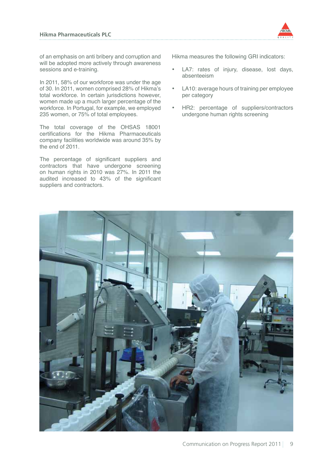

of an emphasis on anti bribery and corruption and will be adopted more actively through awareness sessions and e-training.

In 2011, 58% of our workforce was under the age of 30. In 2011, women comprised 28% of Hikma's total workforce. In certain jurisdictions however, women made up a much larger percentage of the workforce. In Portugal, for example, we employed 235 women, or 75% of total employees.

The total coverage of the OHSAS 18001 certifications for the Hikma Pharmaceuticals company facilities worldwide was around 35% by the end of 2011.

The percentage of significant suppliers and contractors that have undergone screening on human rights in 2010 was 27%. In 2011 the audited increased to 43% of the significant suppliers and contractors.

- LA7: rates of injury, disease, lost days, absenteeism
- LA10: average hours of training per employee per category
- HR2: percentage of suppliers/contractors undergone human rights screening

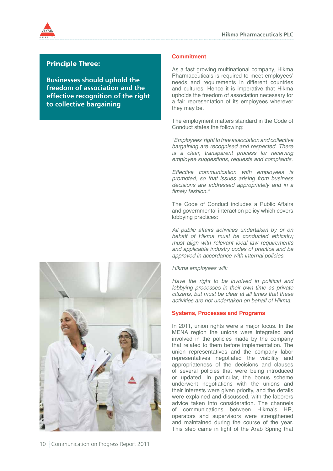

# Principle Three:

**Businesses should uphold the freedom of association and the effective recognition of the right to collective bargaining**

# **Commitment**

As a fast growing multinational company, Hikma Pharmaceuticals is required to meet employees' needs and requirements in different countries and cultures. Hence it is imperative that Hikma upholds the freedom of association necessary for a fair representation of its employees wherever they may be.

The employment matters standard in the Code of Conduct states the following:

*"Employees' right to free association and collective bargaining are recognised and respected. There is a clear, transparent process for receiving employee suggestions, requests and complaints.*

*Effective communication with employees is promoted, so that issues arising from business decisions are addressed appropriately and in a timely fashion."*

The Code of Conduct includes a Public Affairs and governmental interaction policy which covers lobbying practices:

*All public affairs activities undertaken by or on behalf of Hikma must be conducted ethically; must align with relevant local law requirements and applicable industry codes of practice and be approved in accordance with internal policies.*

*Hikma employees will:*

*Have the right to be involved in political and lobbying processes in their own time as private citizens, but must be clear at all times that these activities are not undertaken on behalf of Hikma.* 

#### **Systems, Processes and Programs**

In 2011, union rights were a major focus. In the MENA region the unions were integrated and involved in the policies made by the company that related to them before implementation. The union representatives and the company labor representatives negotiated the viability and appropriateness of the decisions and clauses of several policies that were being introduced or updated. In particular, the bonus scheme underwent negotiations with the unions and their interests were given priority, and the details were explained and discussed, with the laborers advice taken into consideration. The channels of communications between Hikma's HR, operators and supervisors were strengthened and maintained during the course of the year. This step came in light of the Arab Spring that

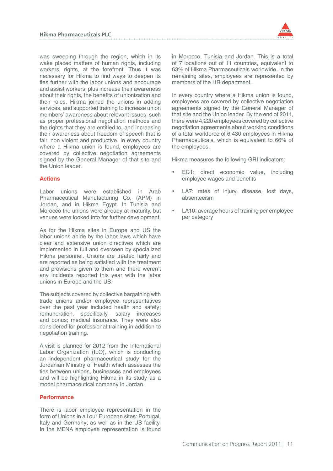

was sweeping through the region, which in its wake placed matters of human rights, including workers' rights, at the forefront. Thus it was necessary for Hikma to find ways to deepen its ties further with the labor unions and encourage and assist workers, plus increase their awareness about their rights, the benefits of unionization and their roles. Hikma joined the unions in adding services, and supported training to increase union members' awareness about relevant issues, such as proper professional negotiation methods and the rights that they are entitled to, and increasing their awareness about freedom of speech that is fair, non violent and productive. In every country where a Hikma union is found, employees are covered by collective negotiation agreements signed by the General Manager of that site and the Union leader.

# **Actions**

Labor unions were established in Arab Pharmaceutical Manufacturing Co. (APM) in Jordan, and in Hikma Egypt. In Tunisia and Morocco the unions were already at maturity, but venues were looked into for further development.

As for the Hikma sites in Europe and US the labor unions abide by the labor laws which have clear and extensive union directives which are implemented in full and overseen by specialized Hikma personnel. Unions are treated fairly and are reported as being satisfied with the treatment and provisions given to them and there weren't any incidents reported this year with the labor unions in Europe and the US.

The subjects covered by collective bargaining with trade unions and/or employee representatives over the past year included health and safety; remuneration, specifically, salary increases and bonus; medical insurance. They were also considered for professional training in addition to negotiation training.

A visit is planned for 2012 from the International Labor Organization (ILO), which is conducting an independent pharmaceutical study for the Jordanian Ministry of Health which assesses the ties between unions, businesses and employees and will be highlighting Hikma in its study as a model pharmaceutical company in Jordan.

#### **Performance**

There is labor employee representation in the form of Unions in all our European sites: Portugal, Italy and Germany; as well as in the US facility. In the MENA employee representation is found

in Morocco, Tunisia and Jordan. This is a total of 7 locations out of 11 countries, equivalent to 63% of Hikma Pharmaceuticals worldwide. In the remaining sites, employees are represented by members of the HR department.

In every country where a Hikma union is found, employees are covered by collective negotiation agreements signed by the General Manager of that site and the Union leader. By the end of 2011, there were 4,220 employees covered by collective negotiation agreements about working conditions of a total workforce of 6,430 employees in Hikma Pharmaceuticals, which is equivalent to 66% of the employees.

- EC1: direct economic value, including employee wages and benefits
- LA7: rates of injury, disease, lost days, absenteeism
- LA10: average hours of training per employee per category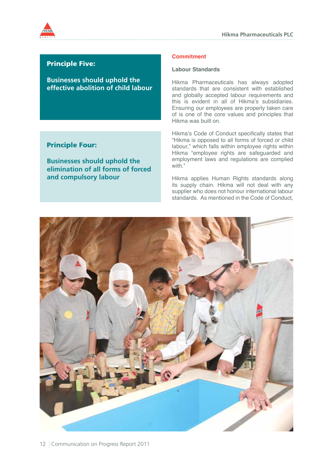

# Principle Five:

**Businesses should uphold the effective abolition of child labour**

# Principle Four:

**Businesses should uphold the elimination of all forms of forced and compulsory labour**

## **Commitment**

#### **Labour Standards**

Hikma Pharmaceuticals has always adopted standards that are consistent with established and globally accepted labour requirements and this is evident in all of Hikma's subsidiaries. Ensuring our employees are properly taken care of is one of the core values and principles that Hikma was built on.

Hikma's Code of Conduct specifically states that "Hikma is opposed to all forms of forced or child labour," which falls within employee rights within Hikma "employee rights are safeguarded and employment laws and regulations are complied with."

Hikma applies Human Rights standards along its supply chain. Hikma will not deal with any supplier who does not honour international labour standards. As mentioned in the Code of Conduct,

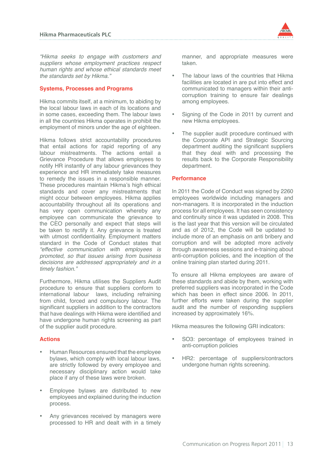

*"Hikma seeks to engage with customers and suppliers whose employment practices respect human rights and whose ethical standards meet the standards set by Hikma."*

## **Systems, Processes and Programs**

Hikma commits itself, at a minimum, to abiding by the local labour laws in each of its locations and in some cases, exceeding them. The labour laws in all the countries Hikma operates in prohibit the employment of minors under the age of eighteen.

Hikma follows strict accountability procedures that entail actions for rapid reporting of any labour mistreatments. The actions entail a Grievance Procedure that allows employees to notify HR instantly of any labour grievances they experience and HR immediately take measures to remedy the issues in a responsible manner. These procedures maintain Hikma's high ethical standards and cover any mistreatments that might occur between employees. Hikma applies accountability throughout all its operations and has very open communication whereby any employee can communicate the grievance to the CEO personally and expect that steps will be taken to rectify it. Any grievance is treated with utmost confidentiality. Employment matters standard in the Code of Conduct states that *"effective communication with employees is promoted, so that issues arising from business decisions are addressed appropriately and in a timely fashion."*

Furthermore, Hikma utilises the Suppliers Audit procedure to ensure that suppliers conform to international labour laws, including refraining from child, forced and compulsory labour. The significant suppliers in addition to the contractors that have dealings with Hikma were identified and have undergone human rights screening as part of the supplier audit procedure.

#### **Actions**

- Human Resources ensured that the employee bylaws, which comply with local labour laws, are strictly followed by every employee and necessary disciplinary action would take place if any of these laws were broken.
- Employee bylaws are distributed to new employees and explained during the induction process.
- Any grievances received by managers were processed to HR and dealt with in a timely

manner, and appropriate measures were taken.

- The labour laws of the countries that Hikma facilities are located in are put into effect and communicated to managers within their anticorruption training to ensure fair dealings among employees.
- Signing of the Code in 2011 by current and new Hikma employees.
- The supplier audit procedure continued with the Corporate API and Strategic Sourcing department auditing the significant suppliers that they deal with and processing the results back to the Corporate Responsibility department.

## **Performance**

In 2011 the Code of Conduct was signed by 2260 employees worldwide including managers and non-managers. It is incorporated in the induction process for all employees. It has seen consistency and continuity since it was updated in 2008. This is the last year that this version will be circulated and as of 2012, the Code will be updated to include more of an emphasis on anti bribery and corruption and will be adopted more actively through awareness sessions and e-training about anti-corruption policies, and the inception of the online training plan started during 2011.

To ensure all Hikma employees are aware of these standards and abide by them, working with preferred suppliers was incorporated in the Code which has been in effect since 2006. In 2011, further efforts were taken during the supplier audit and the number of responding suppliers increased by approximately 16%.

- SO3: percentage of employees trained in anti-corruption policies
- HR2: percentage of suppliers/contractors undergone human rights screening.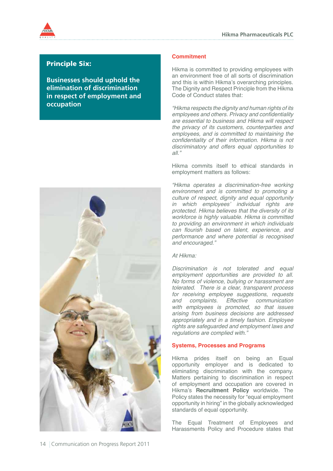

# Principle Six:

**Businesses should uphold the elimination of discrimination in respect of employment and occupation**



# **Commitment**

Hikma is committed to providing employees with an environment free of all sorts of discrimination and this is within Hikma's overarching principles. The Dignity and Respect Principle from the Hikma Code of Conduct states that:

*"Hikma respects the dignity and human rights of its*  employees and others. Privacy and confidentiality *are essential to business and Hikma will respect the privacy of its customers, counterparties and employees, and is committed to maintaining the*  confidentiality of their information. Hikma is not *discriminatory and offers equal opportunities to all."*

Hikma commits itself to ethical standards in employment matters as follows:

*"Hikma operates a discrimination-free working environment and is committed to promoting a culture of respect, dignity and equal opportunity in which employees' individual rights are protected. Hikma believes that the diversity of its workforce is highly valuable. Hikma is committed to providing an environment in which individuals*  can flourish based on talent, experience, and *performance and where potential is recognised and encouraged."*

#### *At Hikma:*

*Discrimination is not tolerated and equal employment opportunities are provided to all. No forms of violence, bullying or harassment are tolerated. There is a clear, transparent process for receiving employee suggestions, requests and complaints. Effective communication with employees is promoted, so that issues arising from business decisions are addressed appropriately and in a timely fashion. Employee rights are safeguarded and employment laws and regulations are complied with."* 

# **Systems, Processes and Programs**

Hikma prides itself on being an Equal opportunity employer and is dedicated to eliminating discrimination with the company. Matters pertaining to discrimination in respect of employment and occupation are covered in Hikma's **Recruitment Policy** worldwide. The Policy states the necessity for "equal employment opportunity in hiring" in the globally acknowledged standards of equal opportunity.

The Equal Treatment of Employees and Harassments Policy and Procedure states that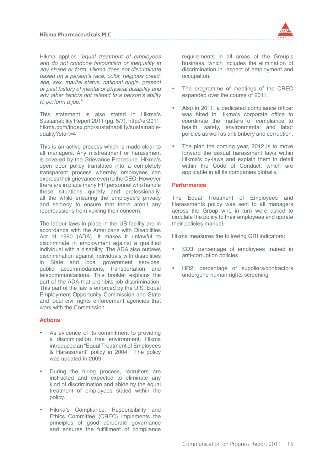

Hikma applies *"equal treatment of employees and do not condone favouritism or inequality in any shape or form. Hikma does not discriminate based on a person's race, color, religious creed,*  age, sex, marital status, national origin, present *or past history of mental or physical disability and any other factors not related to a person's ability to perform a job."*

This statement is also stated in Hikma's Sustainability Report 2011 (pg. 5/7). http://ar2011. hikma.com/index.php/sustainability/sustainablequality?start=4

This is an active process which is made clear to all managers. Any mistreatment or harassment is covered by the Grievance Procedure. Hikma's open door policy translates into a completely transparent process whereby employees can express their grievance even to the CEO. However there are in place many HR personnel who handle these situations quickly and professionally, all the while ensuring the employee's privacy and secrecy to ensure that there aren't any repercussions from voicing their concern.

The labour laws in place in the US facility are in accordance with the Americans with Disabilities Act of 1990 (ADA). It makes it unlawful to discriminate in employment against a qualified individual with a disability. The ADA also outlaws discrimination against individuals with disabilities in State and local government services, public accommodations, transportation and telecommunications. This booklet explains the part of the ADA that prohibits job discrimination. This part of the law is enforced by the U.S. Equal Employment Opportunity Commission and State and local civil rights enforcement agencies that work with the Commission.

# **Actions**

- As evidence of its commitment to providing a discrimination free environment, Hikma introduced an "Equal Treatment of Employees & Harassment" policy in 2004. The policy was updated in 2009.
- During the hiring process, recruiters are instructed and expected to eliminate any kind of discrimination and abide by the equal treatment of employees stated within the policy.
- Hikma's Compliance, Responsibility and Ethics Committee (CREC) implements the principles of good corporate governance and ensures the fulfillment of compliance

requirements in all areas of the Group's business, which includes the elimination of discrimination in respect of employment and occupation.

- The programme of meetings of the CREC expanded over the course of 2011.
- Also in 2011, a dedicated compliance officer was hired in Hikma's corporate office to coordinate the matters of compliance to health, safety, environmental and labor policies as well as anti bribery and corruption.
- The plan the coming year, 2012 is to move forward the sexual harassment laws within Hikma's by-laws and explain them in detail within the Code of Conduct, which are applicable in all its companies globally.

## **Performance**

The Equal Treatment of Employees and Harassments policy was sent to all managers across the Group who in turn were asked to circulate the policy to their employees and update their policies manual.

- SO3: percentage of employees trained in anti-corruption policies
- HR2: percentage of suppliers/contractors undergone human rights screening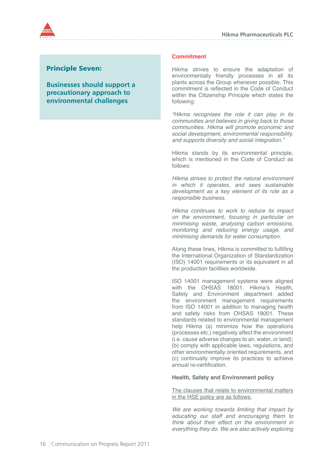

# Principle Seven:

**Businesses should support a precautionary approach to environmental challenges**

#### **Commitment**

Hikma strives to ensure the adaptation of environmentally friendly processes in all its plants across the Group whenever possible. This commitment is reflected in the Code of Conduct within the Citizenship Principle which states the following:

*"Hikma recognises the role it can play in its communities and believes in giving back to those communities. Hikma will promote economic and social development, environmental responsibility, and supports diversity and social integration."*

Hikma stands by its environmental principle, which is mentioned in the Code of Conduct as follows:

*Hikma strives to protect the natural environment in which it operates, and sees sustainable development as a key element of its role as a responsible business.*

*Hikma continues to work to reduce its impact on the environment, focusing in particular on minimising waste, analysing carbon emissions, monitoring and reducing energy usage, and minimising demands for water consumption.*

Along these lines, Hikma is committed to fulfilling the International Organization of Standardization (ISO) 14001 requirements or its equivalent in all the production facilities worldwide.

ISO 14001 management systems were aligned with the OHSAS 18001. Hikma's Health, Safety and Environment department added the environment management requirements from ISO 14001 in addition to managing health and safety risks from OHSAS 18001. These standards related to environmental management help Hikma (a) minimize how the operations (processes etc.) negatively affect the environment (i.e. cause adverse changes to air, water, or land); (b) comply with applicable laws, regulations, and other environmentally oriented requirements, and (c) continually improve its practices to achieve annual re-certification.

#### **Health, Safety and Environment policy**

The clauses that relate to environmental matters in the HSE policy are as follows:

*We are working towards limiting that impact by educating our staff and encouraging them to think about their effect on the environment in*  everything they do. We are also actively exploring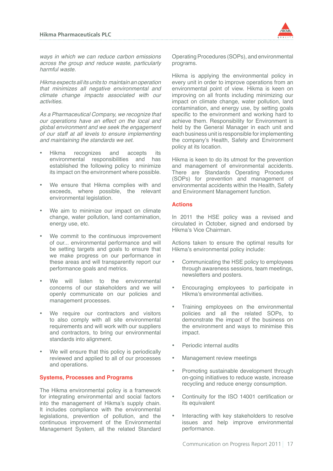

*ways in which we can reduce carbon emissions across the group and reduce waste, particularly harmful waste.*

Hikma expects all its units to maintain an operation *that minimizes all negative environmental and climate change impacts associated with our activities.*

*As a Pharmaceutical Company, we recognize that our operations have an effect on the local and global environment and we seek the engagement of our staff at all levels to ensure implementing and maintaining the standards we set.*

- Hikma recognizes and accepts its environmental responsibilities and has established the following policy to minimize its impact on the environment where possible.
- We ensure that Hikma complies with and exceeds, where possible, the relevant environmental legislation.
- We aim to minimize our impact on climate change, water pollution, land contamination, energy use, etc.
- We commit to the continuous improvement of our... environmental performance and will be setting targets and goals to ensure that we make progress on our performance in these areas and will transparently report our performance goals and metrics.
- We will listen to the environmental concerns of our stakeholders and we will openly communicate on our policies and management processes.
- We require our contractors and visitors to also comply with all site environmental requirements and will work with our suppliers and contractors, to bring our environmental standards into alignment.
- We will ensure that this policy is periodically reviewed and applied to all of our processes and operations.

# **Systems, Processes and Programs**

The Hikma environmental policy is a framework for integrating environmental and social factors into the management of Hikma's supply chain. It includes compliance with the environmental legislations, prevention of pollution, and the continuous improvement of the Environmental Management System, all the related Standard

Operating Procedures (SOPs), and environmental programs.

Hikma is applying the environmental policy in every unit in order to improve operations from an environmental point of view. Hikma is keen on improving on all fronts including minimizing our impact on climate change, water pollution, land contamination, and energy use, by setting goals specific to the environment and working hard to achieve them. Responsibility for Environment is held by the General Manager in each unit and each business unit is responsible for implementing the company's Health, Safety and Environment policy at its location.

Hikma is keen to do its utmost for the prevention and management of environmental accidents. There are Standards Operating Procedures (SOPs) for prevention and management of environmental accidents within the Health, Safety and Environment Management function.

## **Actions**

In 2011 the HSE policy was a revised and circulated in October, signed and endorsed by Hikma's Vice Chairman.

Actions taken to ensure the optimal results for Hikma's environmental policy include:

- Communicating the HSE policy to employees through awareness sessions, team meetings, newsletters and posters.
- Encouraging employees to participate in Hikma's environmental activities.
- Training employees on the environmental policies and all the related SOPs, to demonstrate the impact of the business on the environment and ways to minimise this impact.
- Periodic internal audits
- **Management review meetings**
- Promoting sustainable development through on-going initiatives to reduce waste, increase recycling and reduce energy consumption.
- Continuity for the ISO 14001 certification or its equivalent
- Interacting with key stakeholders to resolve issues and help improve environmental performance.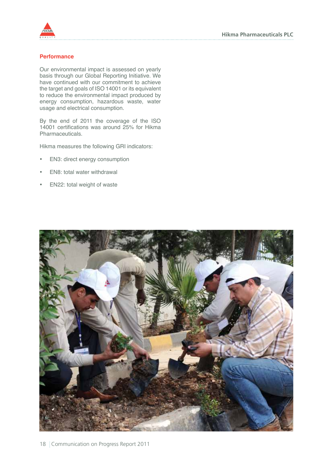

#### **Performance**

Our environmental impact is assessed on yearly basis through our Global Reporting Initiative. We have continued with our commitment to achieve the target and goals of ISO 14001 or its equivalent to reduce the environmental impact produced by energy consumption, hazardous waste, water usage and electrical consumption.

By the end of 2011 the coverage of the ISO 14001 certifications was around 25% for Hikma Pharmaceuticals.

- EN3: direct energy consumption
- EN8: total water withdrawal
- EN22: total weight of waste

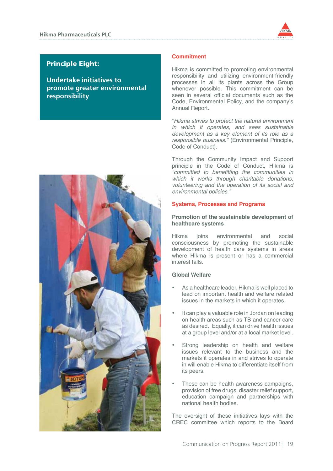

# Principle Eight:

**Undertake initiatives to promote greater environmental responsibility**



## **Commitment**

Hikma is committed to promoting environmental responsibility and utilizing environment-friendly processes in all its plants across the Group whenever possible. This commitment can be seen in several official documents such as the Code, Environmental Policy, and the company's Annual Report.

"*Hikma strives to protect the natural environment in which it operates, and sees sustainable development as a key element of its role as a responsible business."* (Environmental Principle, Code of Conduct).

Through the Community Impact and Support principle in the Code of Conduct, Hikma is "committed to benefitting the communities in *which it works through charitable donations, volunteering and the operation of its social and environmental policies."*

## **Systems, Processes and Programs**

## **Promotion of the sustainable development of healthcare systems**

Hikma joins environmental and social consciousness by promoting the sustainable development of health care systems in areas where Hikma is present or has a commercial interest falls.

## **Global Welfare**

- As a healthcare leader. Hikma is well placed to lead on important health and welfare related issues in the markets in which it operates.
- It can play a valuable role in Jordan on leading on health areas such as TB and cancer care as desired. Equally, it can drive health issues at a group level and/or at a local market level.
- Strong leadership on health and welfare issues relevant to the business and the markets it operates in and strives to operate in will enable Hikma to differentiate itself from its peers.
- These can be health awareness campaigns, provision of free drugs, disaster relief support, education campaign and partnerships with national health bodies.

The oversight of these initiatives lays with the CREC committee which reports to the Board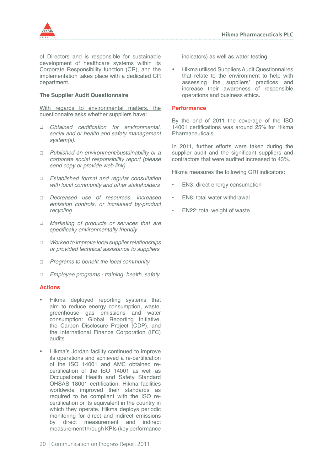

of Directors and is responsible for sustainable development of healthcare systems within its Corporate Responsibility function (CR), and the implementation takes place with a dedicated CR department.

## **The Supplier Audit Questionnaire**

With regards to environmental matters, the questionnaire asks whether suppliers have:

- q Obtained certification for environmental, *social and or health and safety management system(s).*
- q *Published an environment/sustainability or a corporate social responsibility report (please send copy or provide web link)*
- q *Established formal and regular consultation with local community and other stakeholders*
- q *Decreased use of resources, increased emission controls, or increased by-product recycling*
- q *Marketing of products or services that are*  specifically environmentally friendly
- q *Worked to improve local supplier relationships or provided technical assistance to suppliers*
- $\Box$  Programs to benefit the local community
- q *Employee programs training, health, safety*

#### **Actions**

- Hikma deployed reporting systems that aim to reduce energy consumption, waste, greenhouse gas emissions and water consumption: Global Reporting Initiative, the Carbon Disclosure Project (CDP), and the International Finance Corporation (IFC) audits.
- Hikma's Jordan facility continued to improve its operations and achieved a re-certification of the ISO 14001 and AMC obtained recertification of the ISO 14001 as well as Occupational Health and Safety Standard OHSAS 18001 certification. Hikma facilities worldwide improved their standards as required to be compliant with the ISO recertification or its equivalent in the country in which they operate. Hikma deploys periodic monitoring for direct and indirect emissions by direct measurement and indirect measurement through KPIs (key performance

indicators) as well as water testing.

**Hikma utilised Suppliers Audit Questionnaires** that relate to the environment to help with assessing the suppliers' practices and increase their awareness of responsible operations and business ethics.

#### **Performance**

By the end of 2011 the coverage of the ISO 14001 certifications was around 25% for Hikma Pharmaceuticals.

In 2011, further efforts were taken during the supplier audit and the significant suppliers and contractors that were audited increased to 43%.

- EN3: direct energy consumption
- EN8: total water withdrawal
- EN22: total weight of waste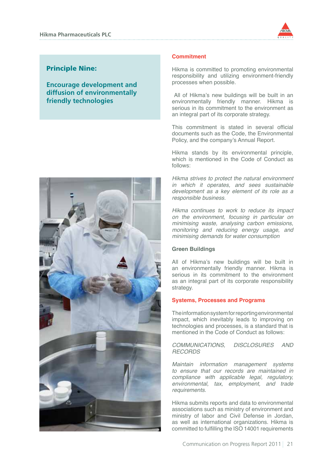

# Principle Nine:

**Encourage development and diffusion of environmentally friendly technologies**



### **Commitment**

Hikma is committed to promoting environmental responsibility and utilizing environment-friendly processes when possible.

 All of Hikma's new buildings will be built in an environmentally friendly manner. Hikma is serious in its commitment to the environment as an integral part of its corporate strategy.

This commitment is stated in several official documents such as the Code, the Environmental Policy, and the company's Annual Report.

Hikma stands by its environmental principle, which is mentioned in the Code of Conduct as follows:

*Hikma strives to protect the natural environment in which it operates, and sees sustainable development as a key element of its role as a responsible business.*

*Hikma continues to work to reduce its impact on the environment, focusing in particular on minimising waste, analysing carbon emissions, monitoring and reducing energy usage, and minimising demands for water consumption*

#### **Green Buildings**

All of Hikma's new buildings will be built in an environmentally friendly manner. Hikma is serious in its commitment to the environment as an integral part of its corporate responsibility strategy.

#### **Systems, Processes and Programs**

The information system for reporting environmental impact, which inevitably leads to improving on technologies and processes, is a standard that is mentioned in the Code of Conduct as follows:

*COMMUNICATIONS, DISCLOSURES AND RECORDS* 

*Maintain information management systems to ensure that our records are maintained in compliance with applicable legal, regulatory,*  environmental, tax, employment, and trade *requirements.*

Hikma submits reports and data to environmental associations such as ministry of environment and ministry of labor and Civil Defense in Jordan, as well as international organizations. Hikma is committed to fulfilling the ISO 14001 requirements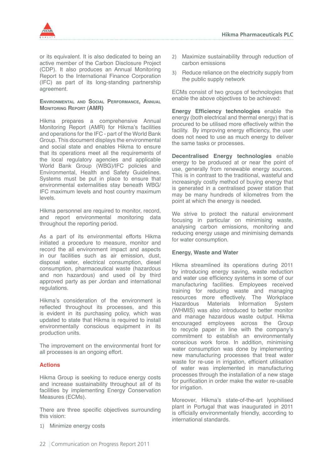

or its equivalent. It is also dedicated to being an active member of the Carbon Disclosure Project (CDP). It also produces an Annual Monitoring Report to the International Finance Corporation (IFC) as part of its long-standing partnership agreement.

#### **Environmental and Social Performance, Annual Monitoring Report (AMR)**

Hikma prepares a comprehensive Annual Monitoring Report (AMR) for Hikma's facilities and operations for the IFC - part of the World Bank Group. This document displays the environmental and social state and enables Hikma to ensure that its operations meet all the requirements of the local regulatory agencies and applicable World Bank Group (WBG)/IFC policies and Environmental, Health and Safety Guidelines. Systems must be put in place to ensure that environmental externalities stay beneath WBG/ IFC maximum levels and host country maximum levels.

Hikma personnel are required to monitor, record, and report environmental monitoring data throughout the reporting period.

As a part of its environmental efforts Hikma initiated a procedure to measure, monitor and record the all environment impact and aspects in our facilities such as air emission, dust, disposal water, electrical consumption, diesel consumption, pharmaceutical waste (hazardous and non hazardous) and used oil by third approved party as per Jordan and international regulations.

Hikma's consideration of the environment is reflected throughout its processes, and this is evident in its purchasing policy, which was updated to state that Hikma is required to install environmentally conscious equipment in its production units.

The improvement on the environmental front for all processes is an ongoing effort.

# **Actions**

Hikma Group is seeking to reduce energy costs and increase sustainability throughout all of its facilities by implementing Energy Conservation Measures (ECMs).

There are three specific objectives surrounding this vision:

1) Minimize energy costs

- 2) Maximize sustainability through reduction of carbon emissions
- 3) Reduce reliance on the electricity supply from the public supply network

ECMs consist of two groups of technologies that enable the above objectives to be achieved:

**Energy Efficiency technologies** enable the energy (both electrical and thermal energy) that is procured to be utilised more effectively within the facility. By improving energy efficiency, the user does not need to use as much energy to deliver the same tasks or processes.

**Decentralised Energy technologies** enable energy to be produced at or near the point of use, generally from renewable energy sources. This is in contrast to the traditional, wasteful and increasingly costly method of buying energy that is generated in a centralised power station that may be many hundreds of kilometres from the point at which the energy is needed.

We strive to protect the natural environment focusing in particular on minimising waste, analysing carbon emissions, monitoring and reducing energy usage and minimising demands for water consumption.

# **Energy, Waste and Water**

Hikma streamlined its operations during 2011 by introducing energy saving, waste reduction and water use efficiency systems in some of our manufacturing facilities. Employees received training for reducing waste and managing resources more effectively. The Workplace<br>Hazardous Materials Information System Hazardous Materials (WHMIS) was also introduced to better monitor and manage hazardous waste output. Hikma encouraged employees across the Group to recycle paper in line with the company's commitment to establish an environmentally conscious work force. In addition, minimising water consumption was done by implementing new manufacturing processes that treat water waste for re-use in irrigation, efficient utilisation of water was implemented in manufacturing processes through the installation of a new stage for purification in order make the water re-usable for irrigation.

Moreover, Hikma's state-of-the-art lyophilised plant in Portugal that was inaugurated in 2011 is officially environmentally friendly, according to international standards.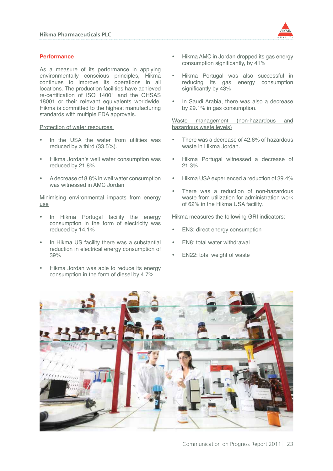

## **Performance**

As a measure of its performance in applying environmentally conscious principles, Hikma continues to improve its operations in all locations. The production facilities have achieved re-certification of ISO 14001 and the OHSAS 18001 or their relevant equivalents worldwide. Hikma is committed to the highest manufacturing standards with multiple FDA approvals.

#### Protection of water resources

- In the USA the water from utilities was reduced by a third (33.5%).
- Hikma Jordan's well water consumption was reduced by 21.8%
- A decrease of 8.8% in well water consumption was witnessed in AMC Jordan

Minimising environmental impacts from energy use

- In Hikma Portugal facility the energy consumption in the form of electricity was reduced by 14.1%
- In Hikma US facility there was a substantial reduction in electrical energy consumption of 39%
- Hikma Jordan was able to reduce its energy consumption in the form of diesel by 4.7%
- Hikma AMC in Jordan dropped its gas energy consumption significantly, by 41%
- Hikma Portugal was also successful in reducing its gas energy consumption significantly by 43%
- In Saudi Arabia, there was also a decrease by 29.1% in gas consumption.

Waste management (non-hazardous and hazardous waste levels)

- There was a decrease of 42.6% of hazardous waste in Hikma Jordan.
- Hikma Portugal witnessed a decrease of 21.3%
- Hikma USA experienced a reduction of 39.4%
- There was a reduction of non-hazardous waste from utilization for administration work of 62% in the Hikma USA facility.

- EN3: direct energy consumption
- EN8: total water withdrawal
- EN22: total weight of waste

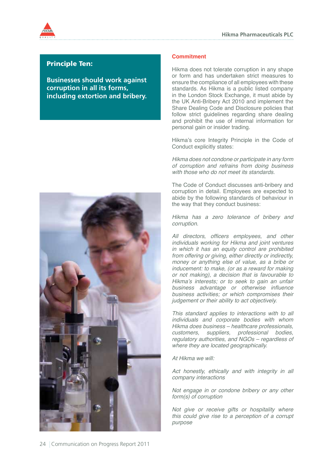

# Principle Ten:

**Businesses should work against corruption in all its forms, including extortion and bribery.**



## **Commitment**

Hikma does not tolerate corruption in any shape or form and has undertaken strict measures to ensure the compliance of all employees with these standards. As Hikma is a public listed company in the London Stock Exchange, it must abide by the UK Anti-Bribery Act 2010 and implement the Share Dealing Code and Disclosure policies that follow strict quidelines regarding share dealing and prohibit the use of internal information for personal gain or insider trading.

Hikma's core Integrity Principle in the Code of Conduct explicitly states:

*Hikma does not condone or participate in any form of corruption and refrains from doing business with those who do not meet its standards.* 

The Code of Conduct discusses anti-bribery and corruption in detail. Employees are expected to abide by the following standards of behaviour in the way that they conduct business:

*Hikma has a zero tolerance of bribery and corruption.*

All directors, officers employees, and other *individuals working for Hikma and joint ventures in which it has an equity control are prohibited from offering or giving, either directly or indirectly, money or anything else of value, as a bribe or inducement: to make, (or as a reward for making or not making), a decision that is favourable to Hikma's interests; or to seek to gain an unfair*  business advantage or otherwise influence *business activities; or which compromises their judgement or their ability to act objectively.*

*This standard applies to interactions with to all individuals and corporate bodies with whom Hikma does business – healthcare professionals, customers, suppliers, professional bodies, regulatory authorities, and NGOs – regardless of where they are located geographically.*

*At Hikma we will:*

*Act honestly, ethically and with integrity in all company interactions*

*Not engage in or condone bribery or any other form(s) of corruption*

*Not give or receive gifts or hospitality where this could give rise to a perception of a corrupt purpose*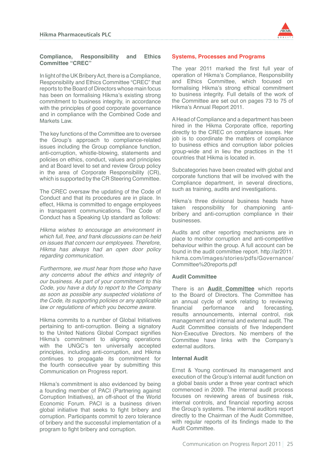

## **Compliance, Responsibility and Ethics Committee "CREC"**

In light of the UK Bribery Act, there is a Compliance, Responsibility and Ethics Committee "CREC" that reports to the Board of Directors whose main focus has been on formalising Hikma's existing strong commitment to business integrity, in accordance with the principles of good corporate governance and in compliance with the Combined Code and Markets Law

The key functions of the Committee are to oversee the Group's approach to compliance-related issues including the Group compliance function, anti-corruption, whistle-blowing, statements and policies on ethics, conduct, values and principles and at Board level to set and review Group policy in the area of Corporate Responsibility (CR), which is supported by the CR Steering Committee.

The CREC oversaw the updating of the Code of Conduct and that its procedures are in place. In effect, Hikma is committed to engage employees in transparent communications. The Code of Conduct has a Speaking Up standard as follows:

*Hikma wishes to encourage an environment in which full, free, and frank discussions can be held on issues that concern our employees. Therefore, Hikma has always had an open door policy regarding communication.*

*Furthermore, we must hear from those who have any concerns about the ethics and integrity of our business. As part of your commitment to this Code, you have a duty to report to the Company as soon as possible any suspected violations of the Code, its supporting policies or any applicable law or regulations of which you become aware.*

Hikma commits to a number of Global Initiatives pertaining to anti-corruption. Being a signatory to the United Nations Global Compact signifies Hikma's commitment to aligning operations with the UNGC's ten universally accepted principles, including anti-corruption, and Hikma continues to propagate its commitment for the fourth consecutive year by submitting this Communication on Progress report.

Hikma's commitment is also evidenced by being a founding member of PACI (Partnering against Corruption Initiatives), an off-shoot of the World Economic Forum. PACI is a business driven global initiative that seeks to fight bribery and corruption. Participants commit to zero tolerance of bribery and the successful implementation of a program to fight bribery and corruption.

# **Systems, Processes and Programs**

The year 2011 marked the first full year of operation of Hikma's Compliance, Responsibility and Ethics Committee, which focused on formalising Hikma's strong ethical commitment to business integrity. Full details of the work of the Committee are set out on pages 73 to 75 of Hikma's Annual Report 2011.

A Head of Compliance and a department has been hired in the Hikma Corporate office, reporting directly to the CREC on compliance issues. Her job is to coordinate the matters of compliance to business ethics and corruption labor policies group-wide and in lieu the practices in the 11 countries that Hikma is located in.

Subcategories have been created with global and corporate functions that will be involved with the Compliance department, in several directions, such as training, audits and investigations.

Hikma's three divisional business heads have taken responsibility for championing antibribery and anti-corruption compliance in their businesses.

Audits and other reporting mechanisms are in place to monitor corruption and anti-competitive behaviour within the group. A full account can be found in the audit committee report. http://ar2011. hikma.com/images/stories/pdfs/Governance/ Committee%20reports.pdf

#### **Audit Committee**

There is an **Audit Committee** which reports to the Board of Directors. The Committee has an annual cycle of work relating to reviewing<br>financial performance and forecasting. financial performance and forecasting, results announcements, internal control, risk management and internal and external audit. The Audit Committee consists of five Independent Non-Executive Directors. No members of the Committee have links with the Company's external auditors.

#### **Internal Audit**

Ernst & Young continued its management and execution of the Group's internal audit function on a global basis under a three year contract which commenced in 2009. The internal audit process focuses on reviewing areas of business risk, internal controls, and financial reporting across the Group's systems. The internal auditors report directly to the Chairman of the Audit Committee, with regular reports of its findings made to the Audit Committee.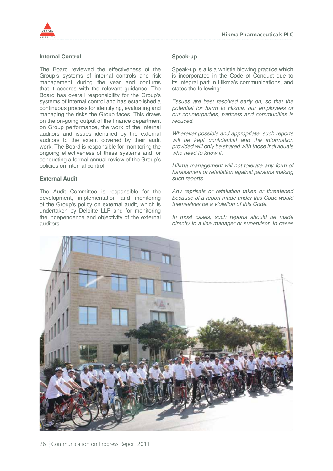



#### **Internal Control**

The Board reviewed the effectiveness of the Group's systems of internal controls and risk management during the year and confirms that it accords with the relevant guidance. The Board has overall responsibility for the Group's systems of internal control and has established a continuous process for identifying, evaluating and managing the risks the Group faces. This draws on the on-going output of the finance department on Group performance, the work of the internal auditors and issues identified by the external auditors to the extent covered by their audit work. The Board is responsible for monitoring the ongoing effectiveness of these systems and for conducting a formal annual review of the Group's policies on internal control.

#### **External Audit**

The Audit Committee is responsible for the development, implementation and monitoring of the Group's policy on external audit, which is undertaken by Deloitte LLP and for monitoring the independence and objectivity of the external auditors.

#### **Speak-up**

Speak-up is a is a whistle blowing practice which is incorporated in the Code of Conduct due to its integral part in Hikma's communications, and states the following:

*"Issues are best resolved early on, so that the potential for harm to Hikma, our employees or our counterparties, partners and communities is reduced.*

*Wherever possible and appropriate, such reports*  will be kept confidential and the information *provided will only be shared with those individuals who need to know it.*

*Hikma management will not tolerate any form of harassment or retaliation against persons making such reports.*

*Any reprisals or retaliation taken or threatened because of a report made under this Code would themselves be a violation of this Code.*

*In most cases, such reports should be made directly to a line manager or supervisor. In cases* 

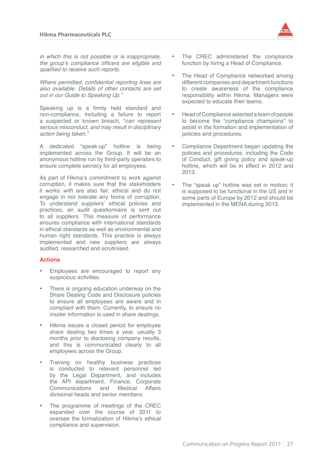*in which this is not possible or is inappropriate,*  the group's compliance officers are eligible and qualified to receive such reports.

Where permitted, confidential reporting lines are *also available. Details of other contacts are set out in our Guide to Speaking Up."*

Speaking up is a firmly held standard and non-compliance, including a failure to report a suspected or known breach, "*can represent serious misconduct, and may result in disciplinary action being taken."*

A dedicated "speak-up" hotline is being implemented across the Group. It will be an anonymous hotline run by third-party operators to ensure complete secrecy for all employees.

As part of Hikma's commitment to work against corruption, it makes sure that the stakeholders it works *with* are also fair, ethical and do not engage in nor tolerate any forms of corruption. To understand suppliers' ethical policies and practices, an audit questionnaire is sent out to all suppliers. This measure of performance ensures compliance with international standards in ethical standards as well as environmental and human right standards. This practice is always implemented and new suppliers are always audited, researched and scrutinised.

# **Actions**

- Employees are encouraged to report any suspicious activities.
- There is ongoing education underway on the Share Dealing Code and Disclosure policies to ensure all employees are aware and in compliant with them. Currently, to ensure no insider information is used in share dealings.
- Hikma issues a closed period for employee share dealing two times a year, usually 3 months prior to disclosing company results, and this is communicated clearly to all employees across the Group.
- Training on healthy business practices is conducted to relevant personnel led by the Legal Department, and includes the API department, Finance, Corporate Communications and Medical Affairs divisional heads and senior members.
- The programme of meetings of the CREC expanded over the course of 2011 to oversee the formalization of Hikma's ethical compliance and supervision.
- The CREC administered the compliance function by hiring a Head of Compliance.
- The Head of Compliance networked among different companies and department functions to create awareness of the compliance responsibility within Hikma. Managers were expected to educate their teams.
- Head of Compliance selected a team of people to become the "compliance champions" to assist in the formation and implementation of policies and procedures.
- Compliance Department began updating the policies and procedures, including the Code of Conduct, gift giving policy and speak-up hotline, which will be in effect in 2012 and 2013.
- The "speak up" hotline was set in motion; it is supposed to be functional in the US and in some parts of Europe by 2012 and should be implemented in the MENA during 2013.

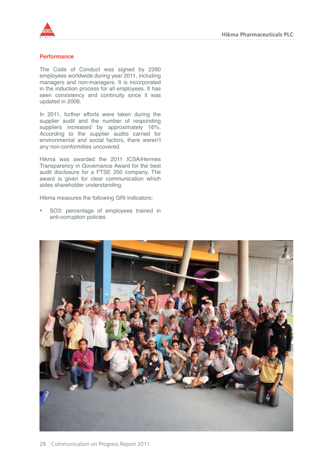

#### **Performance**

The Code of Conduct was signed by 2260 employees worldwide during year 2011, including managers and non-managers. It is incorporated in the induction process for all employees. It has seen consistency and continuity since it was updated in 2008.

In 2011, further efforts were taken during the supplier audit and the number of responding suppliers increased by approximately 16%. According to the supplier audits carried for environmental and social factors, there weren't any non-conformities uncovered.

Hikma was awarded the 2011 ICSA/Hermes Transparency in Governance Award for the best audit disclosure for a FTSE 250 company. The award is given for clear communication which aides shareholder understanding.

Hikma measures the following GRI indicators:

• SO3: percentage of employees trained in anti-corruption policies